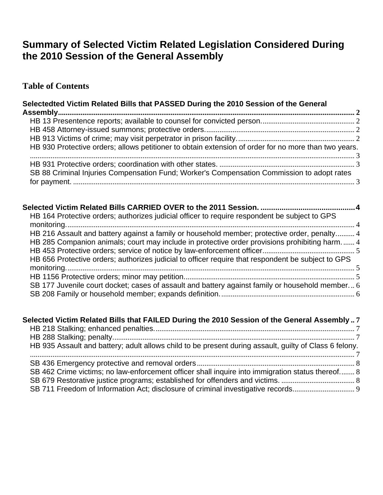# **Summary of Selected Victim Related Legislation Considered During the 2010 Session of the General Assembly**

### **Table of Contents**

| Selectedted Victim Related Bills that PASSED During the 2010 Session of the General                  |  |
|------------------------------------------------------------------------------------------------------|--|
|                                                                                                      |  |
|                                                                                                      |  |
|                                                                                                      |  |
| HB 930 Protective orders; allows petitioner to obtain extension of order for no more than two years. |  |
|                                                                                                      |  |
|                                                                                                      |  |
| SB 88 Criminal Injuries Compensation Fund; Worker's Compensation Commission to adopt rates           |  |
|                                                                                                      |  |

| HB 164 Protective orders; authorizes judicial officer to require respondent be subject to GPS      |  |
|----------------------------------------------------------------------------------------------------|--|
| HB 216 Assault and battery against a family or household member; protective order, penalty 4       |  |
| HB 285 Companion animals; court may include in protective order provisions prohibiting harm 4      |  |
| HB 656 Protective orders; authorizes judicial to officer require that respondent be subject to GPS |  |
|                                                                                                    |  |
|                                                                                                    |  |
| SB 177 Juvenile court docket; cases of assault and battery against family or household member 6    |  |

| Selected Victim Related Bills that FAILED During the 2010 Session of the General Assembly7             |  |
|--------------------------------------------------------------------------------------------------------|--|
|                                                                                                        |  |
|                                                                                                        |  |
| HB 935 Assault and battery; adult allows child to be present during assault, guilty of Class 6 felony. |  |
|                                                                                                        |  |
|                                                                                                        |  |
| SB 462 Crime victims; no law-enforcement officer shall inquire into immigration status thereof 8       |  |
|                                                                                                        |  |
|                                                                                                        |  |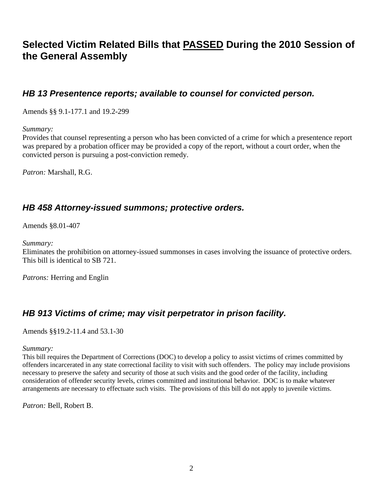# <span id="page-1-0"></span>**Selected Victim Related Bills that PASSED During the 2010 Session of the General Assembly**

#### *[HB 13](http://leg1.state.va.us/cgi-bin/legp504.exe?101+sum+HB13) Presentence reports; available to counsel for convicted person.*

Amends §§ 9.1-177.1 and 19.2-299

*Summary:*

Provides that counsel representing a person who has been convicted of a crime for which a presentence report was prepared by a probation officer may be provided a copy of the report, without a court order, when the convicted person is pursuing a post-conviction remedy.

*Patron:* Marshall, R.G.

#### *[HB 458](http://leg1.state.va.us/cgi-bin/legp504.exe?101+sum+HB458) Attorney-issued summons; protective orders.*

Amends §8.01-407

*Summary:* 

Eliminates the prohibition on attorney-issued summonses in cases involving the issuance of protective orders. This bill is identical to SB 721.

*Patrons:* Herring and Englin

### *[HB 913](http://leg1.state.va.us/cgi-bin/legp504.exe?101+sum+HB913) Victims of crime; may visit perpetrator in prison facility.*

Amends §§19.2-11.4 and 53.1-30

*Summary:*

This bill requires the Department of Corrections (DOC) to develop a policy to assist victims of crimes committed by offenders incarcerated in any state correctional facility to visit with such offenders. The policy may include provisions necessary to preserve the safety and security of those at such visits and the good order of the facility, including consideration of offender security levels, crimes committed and institutional behavior. DOC is to make whatever arrangements are necessary to effectuate such visits. The provisions of this bill do not apply to juvenile victims.

*Patron:* Bell, Robert B.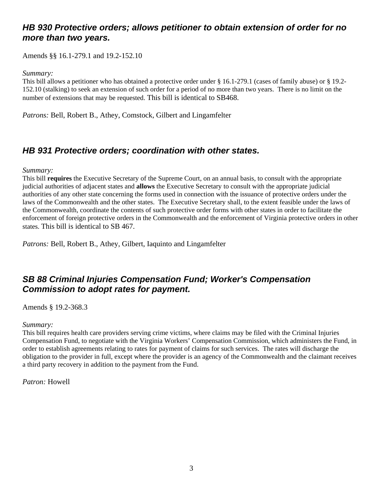### <span id="page-2-0"></span>*[HB 930](http://leg1.state.va.us/cgi-bin/legp504.exe?101+sum+HB930) Protective orders; allows petitioner to obtain extension of order for no more than two years.*

Amends §§ 16.1-279.1 and 19.2-152.10

#### *Summary:*

This bill allows a petitioner who has obtained a protective order under § 16.1-279.1 (cases of family abuse) or § 19.2- 152.10 (stalking) to seek an extension of such order for a period of no more than two years. There is no limit on the number of extensions that may be requested. This bill is identical to SB468.

*Patrons:* Bell, Robert B., Athey, Comstock, Gilbert and Lingamfelter

## *[HB 931](http://leg1.state.va.us/cgi-bin/legp504.exe?101+sum+HB931) Protective orders; coordination with other states.*

#### *Summary:*

This bill **requires** the Executive Secretary of the Supreme Court, on an annual basis, to consult with the appropriate judicial authorities of adjacent states and **allows** the Executive Secretary to consult with the appropriate judicial authorities of any other state concerning the forms used in connection with the issuance of protective orders under the laws of the Commonwealth and the other states. The Executive Secretary shall, to the extent feasible under the laws of the Commonwealth, coordinate the contents of such protective order forms with other states in order to facilitate the enforcement of foreign protective orders in the Commonwealth and the enforcement of Virginia protective orders in other states. This bill is identical to SB 467.

*Patrons:* Bell, Robert B., Athey, Gilbert, Iaquinto and Lingamfelter

## *[SB 88](http://leg1.state.va.us/cgi-bin/legp504.exe?101+sum+SB88) Criminal Injuries Compensation Fund; Worker's Compensation Commission to adopt rates for payment.*

Amends § 19.2-368.3

#### *Summary:*

This bill requires health care providers serving crime victims, where claims may be filed with the Criminal Injuries Compensation Fund, to negotiate with the Virginia Workers' Compensation Commission, which administers the Fund, in order to establish agreements relating to rates for payment of claims for such services. The rates will discharge the obligation to the provider in full, except where the provider is an agency of the Commonwealth and the claimant receives a third party recovery in addition to the payment from the Fund.

*Patron:* Howell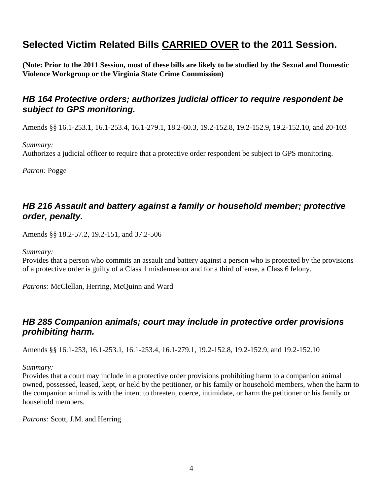# <span id="page-3-0"></span>**Selected Victim Related Bills CARRIED OVER to the 2011 Session.**

**(Note: Prior to the 2011 Session, most of these bills are likely to be studied by the Sexual and Domestic Violence Workgroup or the Virginia State Crime Commission)** 

### *[HB 164](http://leg1.state.va.us/cgi-bin/legp504.exe?101+sum+HB164) Protective orders; authorizes judicial officer to require respondent be subject to GPS monitoring.*

Amends §§ 16.1-253.1, 16.1-253.4, 16.1-279.1, 18.2-60.3, 19.2-152.8, 19.2-152.9, 19.2-152.10, and 20-103

*Summary:*

Authorizes a judicial officer to require that a protective order respondent be subject to GPS monitoring.

*Patron:* Pogge

### *[HB 216](http://leg1.state.va.us/cgi-bin/legp504.exe?101+sum+HB216) Assault and battery against a family or household member; protective order, penalty.*

Amends §§ 18.2-57.2, 19.2-151, and 37.2-506

*Summary:*

Provides that a person who commits an assault and battery against a person who is protected by the provisions of a protective order is guilty of a Class 1 misdemeanor and for a third offense, a Class 6 felony.

*Patrons:* McClellan, Herring, McQuinn and Ward

### *[HB 285](http://leg1.state.va.us/cgi-bin/legp504.exe?101+sum+HB285) Companion animals; court may include in protective order provisions prohibiting harm.*

Amends §§ 16.1-253, 16.1-253.1, 16.1-253.4, 16.1-279.1, 19.2-152.8, 19.2-152.9, and 19.2-152.10

#### *Summary:*

Provides that a court may include in a protective order provisions prohibiting harm to a companion animal owned, possessed, leased, kept, or held by the petitioner, or his family or household members, when the harm to the companion animal is with the intent to threaten, coerce, intimidate, or harm the petitioner or his family or household members.

*Patrons:* Scott, J.M. and Herring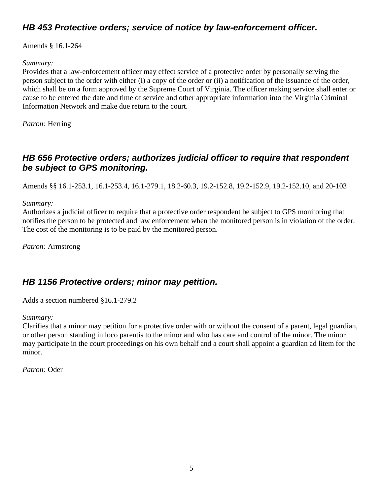# <span id="page-4-0"></span>*[HB 453](http://leg1.state.va.us/cgi-bin/legp504.exe?101+sum+HB453) Protective orders; service of notice by law-enforcement officer.*

Amends § 16.1-264

#### *Summary:*

Provides that a law-enforcement officer may effect service of a protective order by personally serving the person subject to the order with either (i) a copy of the order or (ii) a notification of the issuance of the order, which shall be on a form approved by the Supreme Court of Virginia. The officer making service shall enter or cause to be entered the date and time of service and other appropriate information into the Virginia Criminal Information Network and make due return to the court.

*Patron:* Herring

## *[HB 656](http://leg1.state.va.us/cgi-bin/legp504.exe?101+sum+HB656) Protective orders; authorizes judicial officer to require that respondent be subject to GPS monitoring.*

Amends §§ 16.1-253.1, 16.1-253.4, 16.1-279.1, 18.2-60.3, 19.2-152.8, 19.2-152.9, 19.2-152.10, and 20-103

*Summary:*

Authorizes a judicial officer to require that a protective order respondent be subject to GPS monitoring that notifies the person to be protected and law enforcement when the monitored person is in violation of the order. The cost of the monitoring is to be paid by the monitored person.

*Patron:* Armstrong

### *[HB 1156](http://leg1.state.va.us/cgi-bin/legp504.exe?101+sum+HB1156) Protective orders; minor may petition.*

Adds a section numbered §16.1-279.2

#### *Summary:*

Clarifies that a minor may petition for a protective order with or without the consent of a parent, legal guardian, or other person standing in loco parentis to the minor and who has care and control of the minor. The minor may participate in the court proceedings on his own behalf and a court shall appoint a guardian ad litem for the minor.

*Patron:* Oder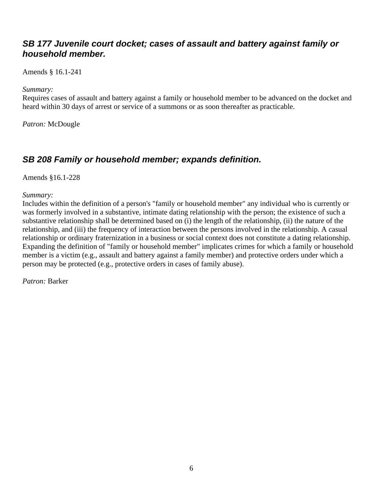### <span id="page-5-0"></span>*[SB 177](http://leg1.state.va.us/cgi-bin/legp504.exe?101+sum+SB177) Juvenile court docket; cases of assault and battery against family or household member.*

Amends § 16.1-241

*Summary:*

Requires cases of assault and battery against a family or household member to be advanced on the docket and heard within 30 days of arrest or service of a summons or as soon thereafter as practicable.

*Patron:* McDougle

# *[SB 208](http://leg1.state.va.us/cgi-bin/legp504.exe?101+sum+SB208) Family or household member; expands definition.*

Amends §16.1-228

*Summary:*

Includes within the definition of a person's "family or household member" any individual who is currently or was formerly involved in a substantive, intimate dating relationship with the person; the existence of such a substantive relationship shall be determined based on (i) the length of the relationship, (ii) the nature of the relationship, and (iii) the frequency of interaction between the persons involved in the relationship. A casual relationship or ordinary fraternization in a business or social context does not constitute a dating relationship. Expanding the definition of "family or household member" implicates crimes for which a family or household member is a victim (e.g., assault and battery against a family member) and protective orders under which a person may be protected (e.g., protective orders in cases of family abuse).

*Patron:* Barker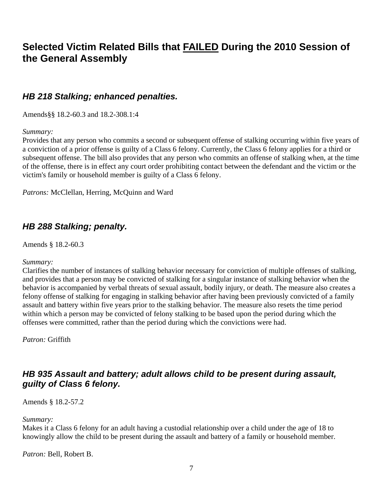# <span id="page-6-0"></span>**Selected Victim Related Bills that FAILED During the 2010 Session of the General Assembly**

#### *[HB 218](http://leg1.state.va.us/cgi-bin/legp504.exe?101+sum+HB218) Stalking; enhanced penalties.*

Amends§§ 18.2-60.3 and 18.2-308.1:4

#### *Summary:*

Provides that any person who commits a second or subsequent offense of stalking occurring within five years of a conviction of a prior offense is guilty of a Class 6 felony. Currently, the Class 6 felony applies for a third or subsequent offense. The bill also provides that any person who commits an offense of stalking when, at the time of the offense, there is in effect any court order prohibiting contact between the defendant and the victim or the victim's family or household member is guilty of a Class 6 felony.

Patrons: McClellan, Herring, McQuinn and Ward

#### *[HB 288](http://leg1.state.va.us/cgi-bin/legp504.exe?101+sum+HB288) Stalking; penalty.*

Amends § 18.2-60.3

#### *Summary:*

Clarifies the number of instances of stalking behavior necessary for conviction of multiple offenses of stalking, and provides that a person may be convicted of stalking for a singular instance of stalking behavior when the behavior is accompanied by verbal threats of sexual assault, bodily injury, or death. The measure also creates a felony offense of stalking for engaging in stalking behavior after having been previously convicted of a family assault and battery within five years prior to the stalking behavior. The measure also resets the time period within which a person may be convicted of felony stalking to be based upon the period during which the offenses were committed, rather than the period during which the convictions were had.

*Patron:* Griffith

### *[HB 935](http://leg1.state.va.us/cgi-bin/legp504.exe?101+sum+HB935) Assault and battery; adult allows child to be present during assault, guilty of Class 6 felony.*

Amends § 18.2-57.2

*Summary:*

Makes it a Class 6 felony for an adult having a custodial relationship over a child under the age of 18 to knowingly allow the child to be present during the assault and battery of a family or household member.

*Patron:* Bell, Robert B.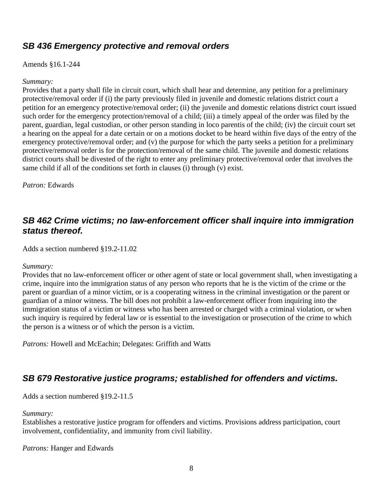### <span id="page-7-0"></span>*[SB 436](http://leg1.state.va.us/cgi-bin/legp504.exe?101+sum+SB436) Emergency protective and removal orders*

#### Amends §16.1-244

#### *Summary:*

Provides that a party shall file in circuit court, which shall hear and determine, any petition for a preliminary protective/removal order if (i) the party previously filed in juvenile and domestic relations district court a petition for an emergency protective/removal order; (ii) the juvenile and domestic relations district court issued such order for the emergency protection/removal of a child; (iii) a timely appeal of the order was filed by the parent, guardian, legal custodian, or other person standing in loco parentis of the child; (iv) the circuit court set a hearing on the appeal for a date certain or on a motions docket to be heard within five days of the entry of the emergency protective/removal order; and (v) the purpose for which the party seeks a petition for a preliminary protective/removal order is for the protection/removal of the same child. The juvenile and domestic relations district courts shall be divested of the right to enter any preliminary protective/removal order that involves the same child if all of the conditions set forth in clauses (i) through (v) exist.

*Patron:* Edwards

### *[SB 462](http://leg1.state.va.us/cgi-bin/legp504.exe?101+sum+SB462) Crime victims; no law-enforcement officer shall inquire into immigration status thereof.*

Adds a section numbered §19.2-11.02

#### *Summary:*

Provides that no law-enforcement officer or other agent of state or local government shall, when investigating a crime, inquire into the immigration status of any person who reports that he is the victim of the crime or the parent or guardian of a minor victim, or is a cooperating witness in the criminal investigation or the parent or guardian of a minor witness. The bill does not prohibit a law-enforcement officer from inquiring into the immigration status of a victim or witness who has been arrested or charged with a criminal violation, or when such inquiry is required by federal law or is essential to the investigation or prosecution of the crime to which the person is a witness or of which the person is a victim.

*Patrons:* Howell and McEachin; Delegates: Griffith and Watts

### *[SB 679](http://leg1.state.va.us/cgi-bin/legp504.exe?101+sum+SB679) Restorative justice programs; established for offenders and victims.*

Adds a section numbered §19.2-11.5

*Summary:*

Establishes a restorative justice program for offenders and victims. Provisions address participation, court involvement, confidentiality, and immunity from civil liability.

*Patrons:* Hanger and Edwards